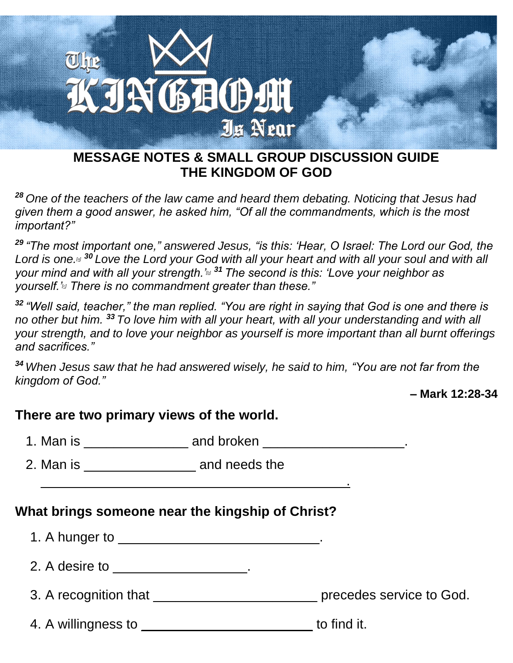

### **MESSAGE NOTES & SMALL GROUP DISCUSSION GUIDE THE KINGDOM OF GOD**

*<sup>28</sup> One of the teachers of the law came and heard them debating. Noticing that Jesus had given them a good answer, he asked him, "Of all the commandments, which is the most important?"*

*<sup>29</sup> "The most important one," answered Jesus, "is this: 'Hear, O Israel: The Lord our God, the Lord is one.[\[a\]](https://www.biblegateway.com/passage/?search=Mark+12%3A28-34&version=NIV#fen-NIV-24703a) <sup>30</sup> Love the Lord your God with all your heart and with all your soul and with all your mind and with all your strength.'[\[b\]](https://www.biblegateway.com/passage/?search=Mark+12%3A28-34&version=NIV#fen-NIV-24704b) <sup>31</sup> The second is this: 'Love your neighbor as yourself.'[\[c\]](https://www.biblegateway.com/passage/?search=Mark+12%3A28-34&version=NIV#fen-NIV-24705c) There is no commandment greater than these."*

*<sup>32</sup> "Well said, teacher," the man replied. "You are right in saying that God is one and there is no other but him. <sup>33</sup> To love him with all your heart, with all your understanding and with all your strength, and to love your neighbor as yourself is more important than all burnt offerings and sacrifices."*

*<sup>34</sup> When Jesus saw that he had answered wisely, he said to him, "You are not far from the kingdom of God."*

**– Mark 12:28-34**

## **There are two primary views of the world.**

| 1. Man is | and broken |  |
|-----------|------------|--|
|-----------|------------|--|

2. Man is **and needs the** 

## **What brings someone near the kingship of Christ?**

 $\_$  . The contribution of the contribution of  $\mathcal{L}_\mathcal{A}$ 

| 1. A hunger to                                                                                                                                                                                                                |                          |
|-------------------------------------------------------------------------------------------------------------------------------------------------------------------------------------------------------------------------------|--------------------------|
| 2. A desire to a matrix of the state of the state of the state of the state of the state of the state of the state of the state of the state of the state of the state of the state of the state of the state of the state of |                          |
| 3. A recognition that                                                                                                                                                                                                         | precedes service to God. |
| 4. A willingness to                                                                                                                                                                                                           | to find it.              |